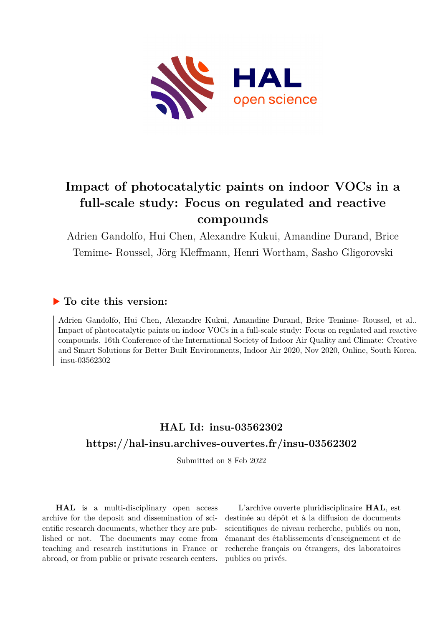

# **Impact of photocatalytic paints on indoor VOCs in a full-scale study: Focus on regulated and reactive compounds**

Adrien Gandolfo, Hui Chen, Alexandre Kukui, Amandine Durand, Brice Temime- Roussel, Jörg Kleffmann, Henri Wortham, Sasho Gligorovski

## **To cite this version:**

Adrien Gandolfo, Hui Chen, Alexandre Kukui, Amandine Durand, Brice Temime- Roussel, et al.. Impact of photocatalytic paints on indoor VOCs in a full-scale study: Focus on regulated and reactive compounds. 16th Conference of the International Society of Indoor Air Quality and Climate: Creative and Smart Solutions for Better Built Environments, Indoor Air 2020, Nov 2020, Online, South Korea. insu-03562302

## **HAL Id: insu-03562302 <https://hal-insu.archives-ouvertes.fr/insu-03562302>**

Submitted on 8 Feb 2022

**HAL** is a multi-disciplinary open access archive for the deposit and dissemination of scientific research documents, whether they are published or not. The documents may come from teaching and research institutions in France or abroad, or from public or private research centers.

L'archive ouverte pluridisciplinaire **HAL**, est destinée au dépôt et à la diffusion de documents scientifiques de niveau recherche, publiés ou non, émanant des établissements d'enseignement et de recherche français ou étrangers, des laboratoires publics ou privés.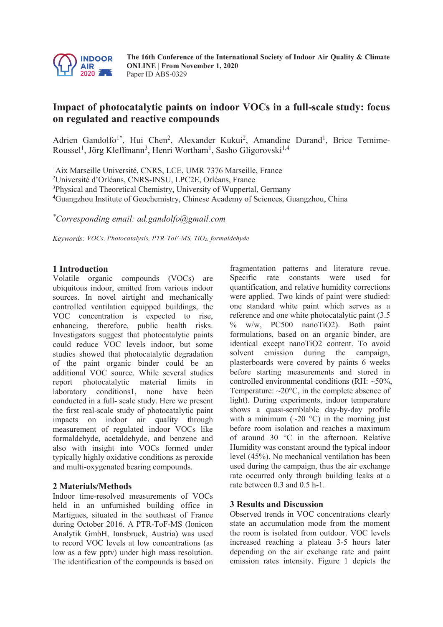

**The 16th Conference of the International Society of Indoor Air Quality & Climate ONLINE | From November 1, 2020**  Paper ID ABS-0329

### **Impact of photocatalytic paints on indoor VOCs in a full-scale study: focus on regulated and reactive compounds**

Adrien Gandolfo<sup>1\*</sup>, Hui Chen<sup>2</sup>, Alexander Kukui<sup>2</sup>, Amandine Durand<sup>1</sup>, Brice Temime-Roussel<sup>1</sup>, Jörg Kleffmann<sup>3</sup>, Henri Wortham<sup>1</sup>, Sasho Gligorovski<sup>1,4</sup>

<sup>1</sup>Aix Marseille Université, CNRS, LCE, UMR 7376 Marseille, France 2 Université d'Orléans, CNRS-INSU, LPC2E, Orléans, France <sup>3</sup>Physical and Theoretical Chemistry, University of Wuppertal, Germany 4 Guangzhou Institute of Geochemistry, Chinese Academy of Sciences, Guangzhou, China

*\* Corresponding email: ad.gandolfo@gmail.com*

*Keywords: VOCs, Photocatalysis, PTR-ToF-MS, TiO2, formaldehyde*

#### **1 Introduction**

Volatile organic compounds (VOCs) are ubiquitous indoor, emitted from various indoor sources. In novel airtight and mechanically controlled ventilation equipped buildings, the VOC concentration is expected to rise, enhancing, therefore, public health risks. Investigators suggest that photocatalytic paints could reduce VOC levels indoor, but some studies showed that photocatalytic degradation of the paint organic binder could be an additional VOC source. While several studies report photocatalytic material limits in laboratory conditions1, none have been conducted in a full- scale study. Here we present the first real-scale study of photocatalytic paint impacts on indoor air quality through measurement of regulated indoor VOCs like formaldehyde, acetaldehyde, and benzene and also with insight into VOCs formed under typically highly oxidative conditions as peroxide and multi-oxygenated bearing compounds.

#### **2 Materials/Methods**

Indoor time-resolved measurements of VOCs held in an unfurnished building office in Martigues, situated in the southeast of France during October 2016. A PTR-ToF-MS (Ionicon Analytik GmbH, Innsbruck, Austria) was used to record VOC levels at low concentrations (as low as a few pptv) under high mass resolution. The identification of the compounds is based on

fragmentation patterns and literature revue. Specific rate constants were used for quantification, and relative humidity corrections were applied. Two kinds of paint were studied: one standard white paint which serves as a reference and one white photocatalytic paint (3.5 % w/w, PC500 nanoTiO2). Both paint formulations, based on an organic binder, are identical except nanoTiO2 content. To avoid solvent emission during the campaign, plasterboards were covered by paints 6 weeks before starting measurements and stored in controlled environmental conditions (RH:  $\sim$ 50%, Temperature:  $\sim$ 20 $\degree$ C, in the complete absence of light). During experiments, indoor temperature shows a quasi-semblable day-by-day profile with a minimum  $(\sim 20$  °C) in the morning just before room isolation and reaches a maximum of around 30 °C in the afternoon. Relative Humidity was constant around the typical indoor level (45%). No mechanical ventilation has been used during the campaign, thus the air exchange rate occurred only through building leaks at a rate between 0.3 and 0.5 h-1.

#### **3 Results and Discussion**

Observed trends in VOC concentrations clearly state an accumulation mode from the moment the room is isolated from outdoor. VOC levels increased reaching a plateau 3-5 hours later depending on the air exchange rate and paint emission rates intensity. Figure 1 depicts the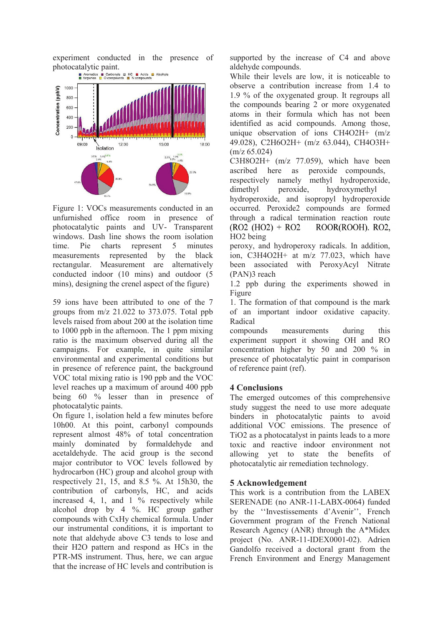experiment conducted in the presence of photocatalytic paint.



Figure 1: VOCs measurements conducted in an unfurnished office room in presence of photocatalytic paints and UV- Transparent windows. Dash line shows the room isolation time. Pie charts represent 5 minutes measurements represented by the black rectangular. Measurement are alternatively conducted indoor (10 mins) and outdoor (5 mins), designing the crenel aspect of the figure)

59 ions have been attributed to one of the 7 groups from  $m/z$  21.022 to 373.075. Total ppb levels raised from about 200 at the isolation time to 1000 ppb in the afternoon. The 1 ppm mixing ratio is the maximum observed during all the campaigns. For example, in quite similar environmental and experimental conditions but in presence of reference paint, the background VOC total mixing ratio is 190 ppb and the VOC level reaches up a maximum of around 400 ppb being 60 % lesser than in presence of photocatalytic paints.

On figure 1, isolation held a few minutes before 10h00. At this point, carbonyl compounds represent almost 48% of total concentration mainly dominated by formaldehyde and acetaldehyde. The acid group is the second major contributor to VOC levels followed by hydrocarbon (HC) group and alcohol group with respectively 21, 15, and 8.5 %. At 15h30, the contribution of carbonyls, HC, and acids increased 4, 1, and 1 % respectively while alcohol drop by 4 %. HC group gather compounds with CxHy chemical formula. Under our instrumental conditions, it is important to note that aldehyde above C3 tends to lose and their H2O pattern and respond as HCs in the PTR-MS instrument. Thus, here, we can argue that the increase of HC levels and contribution is

supported by the increase of C4 and above aldehyde compounds.

While their levels are low, it is noticeable to observe a contribution increase from 1.4 to 1.9 % of the oxygenated group. It regroups all the compounds bearing 2 or more oxygenated atoms in their formula which has not been identified as acid compounds. Among those, unique observation of ions CH4O2H+ (m/z 49.028), C2H6O2H+ (m/z 63.044), CH4O3H+ (m/z 65.024)

C3H8O2H+ (m/z 77.059), which have been ascribed here as peroxide compounds, respectively namely methyl hydroperoxide, dimethyl peroxide, hydroxymethyl

hydroperoxide, and isopropyl hydroperoxide occurred. Peroxide2 compounds are formed through a radical termination reaction route  $(RO2 (HO2) + RO2)$ ROOR(ROOH). RO2, HO2 being

peroxy, and hydroperoxy radicals. In addition, ion, C3H4O2H+ at m/z 77.023, which have been associated with PeroxyAcyl Nitrate (PAN)3 reach

1.2 ppb during the experiments showed in Figure

1. The formation of that compound is the mark of an important indoor oxidative capacity. Radical

compounds measurements during this experiment support it showing OH and RO concentration higher by 50 and 200 % in presence of photocatalytic paint in comparison of reference paint (ref).

#### **4 Conclusions**

The emerged outcomes of this comprehensive study suggest the need to use more adequate binders in photocatalytic paints to avoid additional VOC emissions. The presence of TiO2 as a photocatalyst in paints leads to a more toxic and reactive indoor environment not allowing yet to state the benefits of photocatalytic air remediation technology.

#### **5 Acknowledgement**

This work is a contribution from the LABEX SERENADE (no ANR-11-LABX-0064) funded by the ''Investissements d'Avenir'', French Government program of the French National Research Agency (ANR) through the A\*Midex project (No. ANR-11-IDEX0001-02). Adrien Gandolfo received a doctoral grant from the French Environment and Energy Management